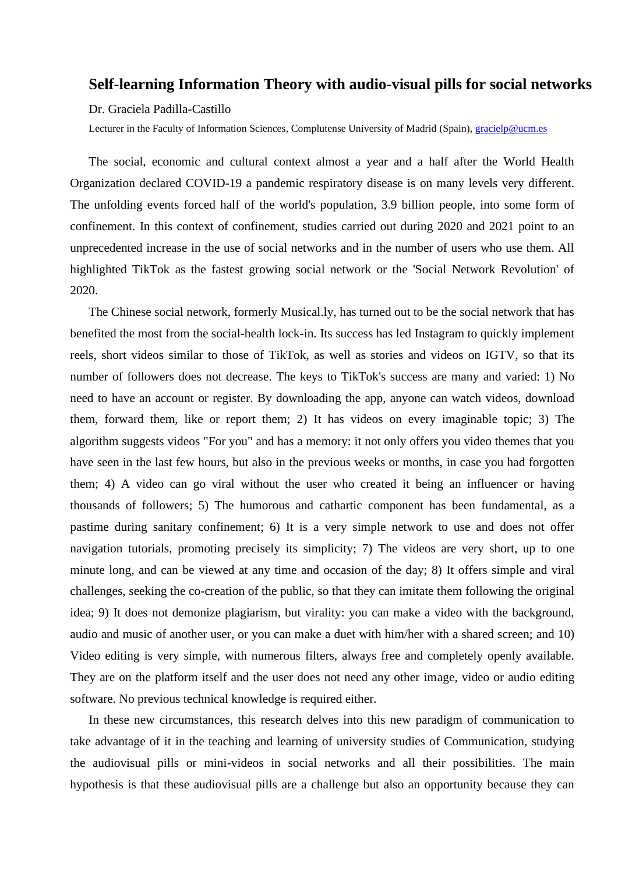## **Self-learning Information Theory with audio-visual pills for social networks**

Dr. Graciela Padilla-Castillo

Lecturer in the Faculty of Information Sciences, Complutense University of Madrid (Spain)[, gracielp@ucm.es](mailto:gracielp@ucm.es)

The social, economic and cultural context almost a year and a half after the World Health Organization declared COVID-19 a pandemic respiratory disease is on many levels very different. The unfolding events forced half of the world's population, 3.9 billion people, into some form of confinement. In this context of confinement, studies carried out during 2020 and 2021 point to an unprecedented increase in the use of social networks and in the number of users who use them. All highlighted TikTok as the fastest growing social network or the 'Social Network Revolution' of 2020.

The Chinese social network, formerly Musical.ly, has turned out to be the social network that has benefited the most from the social-health lock-in. Its success has led Instagram to quickly implement reels, short videos similar to those of TikTok, as well as stories and videos on IGTV, so that its number of followers does not decrease. The keys to TikTok's success are many and varied: 1) No need to have an account or register. By downloading the app, anyone can watch videos, download them, forward them, like or report them; 2) It has videos on every imaginable topic; 3) The algorithm suggests videos "For you" and has a memory: it not only offers you video themes that you have seen in the last few hours, but also in the previous weeks or months, in case you had forgotten them; 4) A video can go viral without the user who created it being an influencer or having thousands of followers; 5) The humorous and cathartic component has been fundamental, as a pastime during sanitary confinement; 6) It is a very simple network to use and does not offer navigation tutorials, promoting precisely its simplicity; 7) The videos are very short, up to one minute long, and can be viewed at any time and occasion of the day; 8) It offers simple and viral challenges, seeking the co-creation of the public, so that they can imitate them following the original idea; 9) It does not demonize plagiarism, but virality: you can make a video with the background, audio and music of another user, or you can make a duet with him/her with a shared screen; and 10) Video editing is very simple, with numerous filters, always free and completely openly available. They are on the platform itself and the user does not need any other image, video or audio editing software. No previous technical knowledge is required either.

In these new circumstances, this research delves into this new paradigm of communication to take advantage of it in the teaching and learning of university studies of Communication, studying the audiovisual pills or mini-videos in social networks and all their possibilities. The main hypothesis is that these audiovisual pills are a challenge but also an opportunity because they can